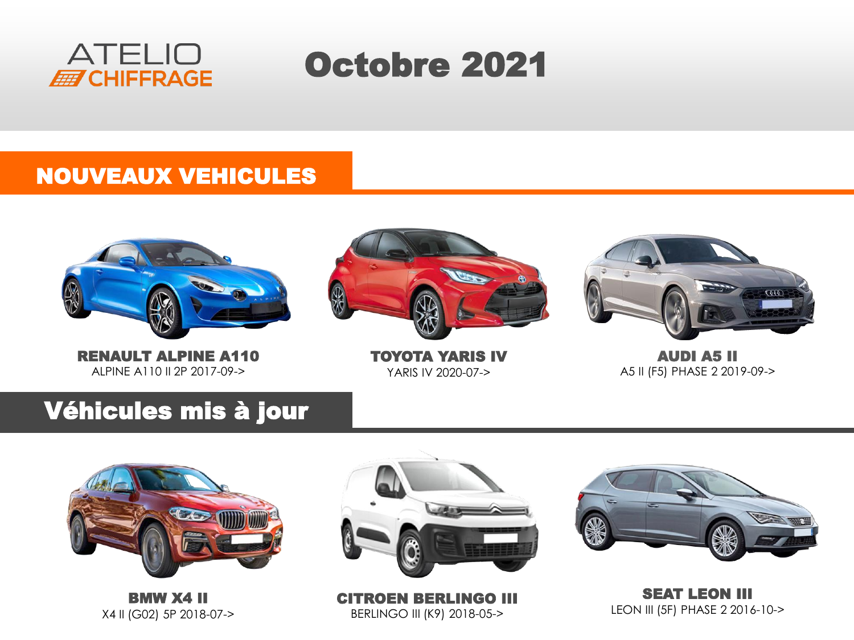

# Octobre 2021

#### NOUVEAUX VEHICULES



RENAULT ALPINE A110 ALPINE A110 II 2P 2017-09->



TOYOTA YARIS IV YARIS IV 2020-07->



AUDI A5 II A5 II (F5) PHASE 2 2019-09->

#### Véhicules mis à jour



BMW X4 II X4 II (G02) 5P 2018-07->



CITROEN BERLINGO III BERLINGO III (K9) 2018-05->



SEAT LEON III LEON III (5F) PHASE 2 2016-10->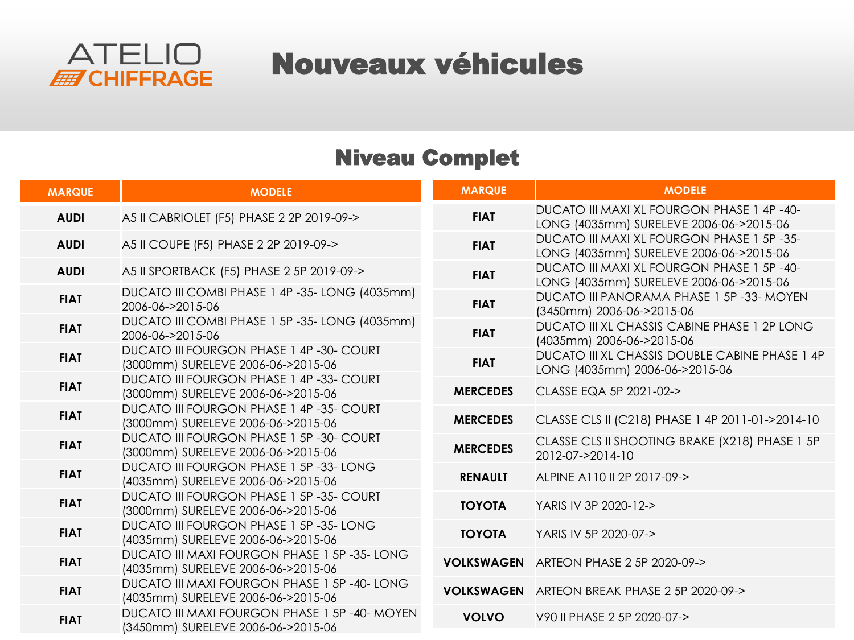

### Nouveaux véhicules

#### Niveau Complet

| <b>MARQUE</b> | <b>MODELE</b>                                                                        | <b>MARQUE</b>   | <b>MODELE</b>                                                                         |
|---------------|--------------------------------------------------------------------------------------|-----------------|---------------------------------------------------------------------------------------|
| <b>AUDI</b>   | A5 II CABRIOLET (F5) PHASE 2 2P 2019-09->                                            | <b>FIAT</b>     | DUCATO III MAXI XL FOURGON PHASE 1 4P -40-<br>LONG (4035mm) SURELEVE 2006-06->2015-06 |
| <b>AUDI</b>   | A5 II COUPE (F5) PHASE 2 2P 2019-09->                                                | <b>FIAT</b>     | DUCATO III MAXI XL FOURGON PHASE 1 5P -35-<br>LONG (4035mm) SURELEVE 2006-06->2015-06 |
| <b>AUDI</b>   | A5 II SPORTBACK (F5) PHASE 2 5P 2019-09->                                            | <b>FIAT</b>     | DUCATO III MAXI XL FOURGON PHASE 1 5P -40-<br>LONG (4035mm) SURELEVE 2006-06->2015-06 |
| <b>FIAT</b>   | DUCATO III COMBI PHASE 1 4P -35- LONG (4035mm)<br>2006-06->2015-06                   | <b>FIAT</b>     | <b>DUCATO III PANORAMA PHASE 1 5P -33- MOYEN</b><br>(3450mm) 2006-06->2015-06         |
| <b>FIAT</b>   | DUCATO III COMBI PHASE 1 5P -35- LONG (4035mm)<br>2006-06->2015-06                   | <b>FIAT</b>     | DUCATO III XL CHASSIS CABINE PHASE 1 2P LONG<br>(4035mm) 2006-06->2015-06             |
| <b>FIAT</b>   | DUCATO III FOURGON PHASE 1 4P -30- COURT<br>(3000mm) SURELEVE 2006-06->2015-06       | <b>FIAT</b>     | DUCATO III XL CHASSIS DOUBLE CABINE PHASE 1 4P<br>LONG (4035mm) 2006-06->2015-06      |
| <b>FIAT</b>   | DUCATO III FOURGON PHASE 1 4P -33- COURT<br>(3000mm) SURELEVE 2006-06->2015-06       | <b>MERCEDES</b> | CLASSE EQA 5P 2021-02->                                                               |
| <b>FIAT</b>   | <b>DUCATO III FOURGON PHASE 1 4P-35- COURT</b><br>(3000mm) SURELEVE 2006-06->2015-06 | <b>MERCEDES</b> | CLASSE CLS II (C218) PHASE 1 4P 2011-01->2014-10                                      |
| <b>FIAT</b>   | DUCATO III FOURGON PHASE 1 5P -30- COURT<br>(3000mm) SURELEVE 2006-06->2015-06       | <b>MERCEDES</b> | CLASSE CLS II SHOOTING BRAKE (X218) PHASE 1 5P<br>2012-07->2014-10                    |
| <b>FIAT</b>   | DUCATO III FOURGON PHASE 1 5P -33- LONG<br>(4035mm) SURELEVE 2006-06->2015-06        | <b>RENAULT</b>  | ALPINE A110 II 2P 2017-09->                                                           |
| <b>FIAT</b>   | DUCATO III FOURGON PHASE 1 5P -35- COURT<br>(3000mm) SURELEVE 2006-06->2015-06       | <b>TOYOTA</b>   | YARIS IV 3P 2020-12->                                                                 |
| <b>FIAT</b>   | DUCATO III FOURGON PHASE 1 5P -35- LONG<br>(4035mm) SURELEVE 2006-06->2015-06        | <b>TOYOTA</b>   | YARIS IV 5P 2020-07->                                                                 |
| <b>FIAT</b>   | DUCATO III MAXI FOURGON PHASE 1 5P -35- LONG<br>(4035mm) SURELEVE 2006-06->2015-06   |                 | <b>VOLKSWAGEN</b> ARTEON PHASE 2 5P 2020-09->                                         |
| <b>FIAT</b>   | DUCATO III MAXI FOURGON PHASE 1 5P -40- LONG<br>(4035mm) SURELEVE 2006-06->2015-06   |                 | VOLKSWAGEN ARTEON BREAK PHASE 2 5P 2020-09->                                          |
| <b>FIAT</b>   | DUCATO III MAXI FOURGON PHASE 1 5P -40- MOYEN<br>(3450mm) SURELEVE 2006-06->2015-06  | <b>VOLVO</b>    | V90 II PHASE 2 5P 2020-07->                                                           |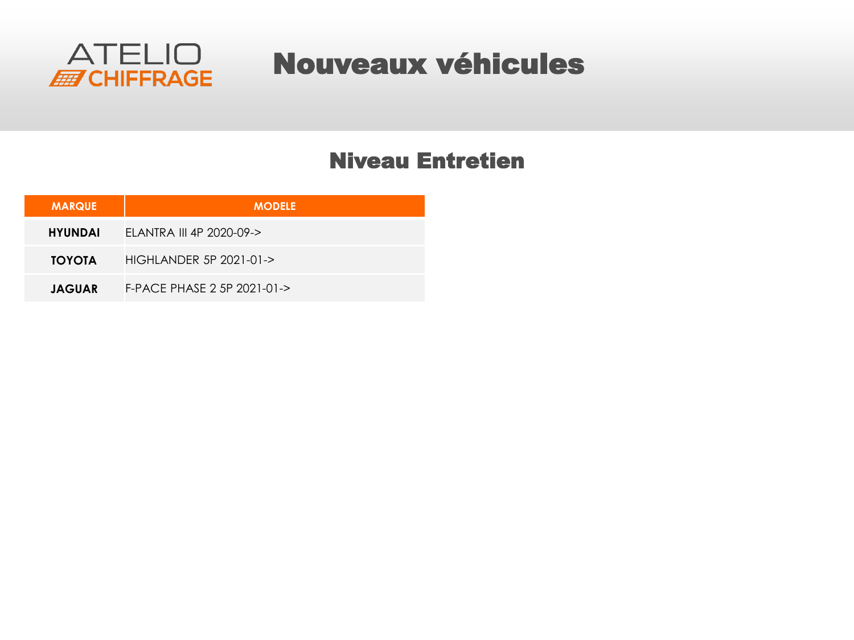

### Nouveaux véhicules

#### Niveau Entretien

| <b>MARQUE</b>  | <b>MODELE</b>               |
|----------------|-----------------------------|
| <b>HYUNDAI</b> | ELANTRA III 4P 2020-09->    |
| <b>TOYOTA</b>  | HIGHLANDER 5P 2021-01->     |
| <b>JAGUAR</b>  | F-PACE PHASE 2 5P 2021-01-> |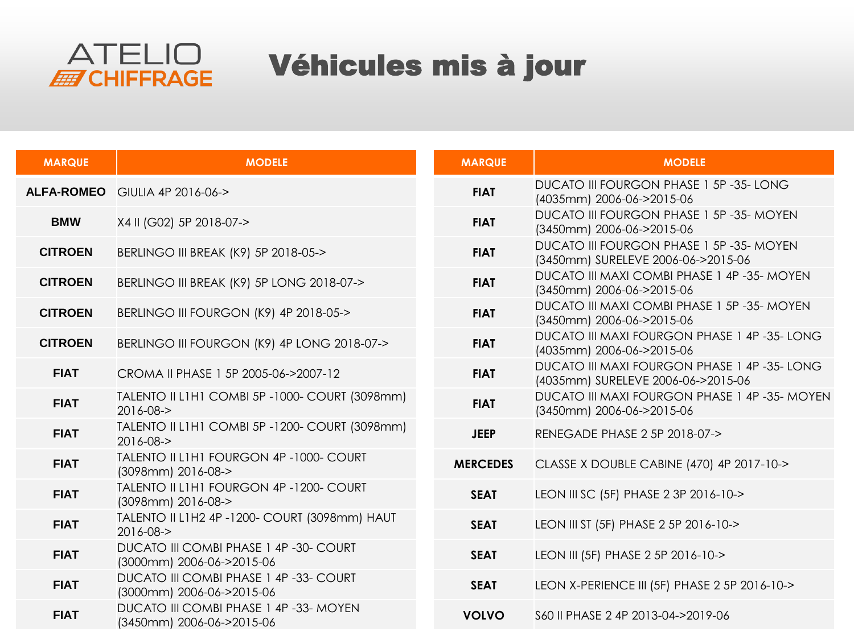

# Véhicules mis à jour

| <b>MARQUE</b>  | <b>MODELE</b>                                                       | <b>MARQUE</b>   | <b>MODELE</b>                                                                      |
|----------------|---------------------------------------------------------------------|-----------------|------------------------------------------------------------------------------------|
|                | ALFA-ROMEO GIULIA 4P 2016-06->                                      | <b>FIAT</b>     | DUCATO III FOURGON PHASE 1 5P-35-LONG<br>(4035mm) 2006-06->2015-06                 |
| <b>BMW</b>     | X4 II (G02) 5P 2018-07->                                            | <b>FIAT</b>     | DUCATO III FOURGON PHASE 1 5P -35- MOYEN<br>(3450mm) 2006-06->2015-06              |
| <b>CITROEN</b> | BERLINGO III BREAK (K9) 5P 2018-05->                                | <b>FIAT</b>     | DUCATO III FOURGON PHASE 1 5P -35- MOYEN<br>(3450mm) SURELEVE 2006-06->2015-06     |
| <b>CITROEN</b> | BERLINGO III BREAK (K9) 5P LONG 2018-07->                           | <b>FIAT</b>     | DUCATO III MAXI COMBI PHASE 1 4P-35- MOYEN<br>(3450mm) 2006-06->2015-06            |
| <b>CITROEN</b> | BERLINGO III FOURGON (K9) 4P 2018-05->                              | <b>FIAT</b>     | DUCATO III MAXI COMBI PHASE 1 5P-35- MOYEN<br>(3450mm) 2006-06->2015-06            |
| <b>CITROEN</b> | BERLINGO III FOURGON (K9) 4P LONG 2018-07->                         | <b>FIAT</b>     | DUCATO III MAXI FOURGON PHASE 1 4P -35- LONG<br>(4035mm) 2006-06->2015-06          |
| <b>FIAT</b>    | CROMA II PHASE 1 5P 2005-06->2007-12                                | <b>FIAT</b>     | DUCATO III MAXI FOURGON PHASE 1 4P -35- LONG<br>(4035mm) SURELEVE 2006-06->2015-06 |
| <b>FIAT</b>    | TALENTO II L1H1 COMBI 5P - 1000- COURT (3098mm)<br>2016-08->        | <b>FIAT</b>     | DUCATO III MAXI FOURGON PHASE 1 4P -35- MOYEN<br>(3450mm) 2006-06->2015-06         |
| <b>FIAT</b>    | TALENTO II L1H1 COMBI 5P -1200- COURT (3098mm)<br>2016-08->         | <b>JEEP</b>     | RENEGADE PHASE 2 5P 2018-07->                                                      |
| <b>FIAT</b>    | TALENTO II L1H1 FOURGON 4P-1000- COURT<br>(3098mm) 2016-08->        | <b>MERCEDES</b> | CLASSE X DOUBLE CABINE (470) 4P 2017-10->                                          |
| <b>FIAT</b>    | TALENTO II L1H1 FOURGON 4P-1200- COURT<br>(3098mm) 2016-08->        | <b>SEAT</b>     | LEON III SC (5F) PHASE 2 3P 2016-10->                                              |
| <b>FIAT</b>    | TALENTO II L1H2 4P - 1200- COURT (3098mm) HAUT<br>2016-08->         | <b>SEAT</b>     | LEON III ST (5F) PHASE 2 5P 2016-10->                                              |
| <b>FIAT</b>    | DUCATO III COMBI PHASE 1 4P -30- COURT<br>(3000mm) 2006-06->2015-06 | <b>SEAT</b>     | LEON III (5F) PHASE 2 5P 2016-10->                                                 |
| <b>FIAT</b>    | DUCATO III COMBI PHASE 1 4P -33- COURT<br>(3000mm) 2006-06->2015-06 | <b>SEAT</b>     | LEON X-PERIENCE III (5F) PHASE 2 5P 2016-10->                                      |
| <b>FIAT</b>    | DUCATO III COMBI PHASE 1 4P -33- MOYEN<br>(3450mm) 2006-06->2015-06 | <b>VOLVO</b>    | S60 II PHASE 2 4P 2013-04->2019-06                                                 |